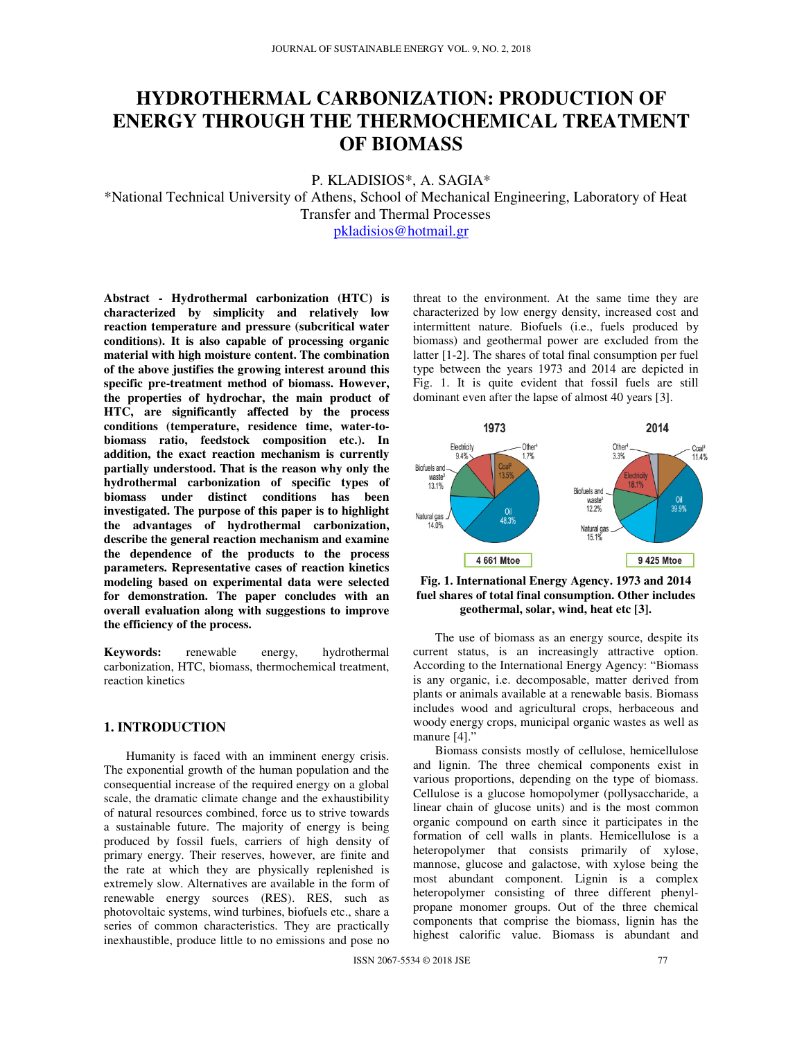# **HYDROTHERMAL CARBONIZATION: PRODUCTION OF ENERGY THROUGH THE THERMOCHEMICAL TREATMENT OF BIOMASS**

P. KLADISIOS\*, A. SAGIA\*

\*National Technical University of Athens, School of Mechanical Engineering, Laboratory of Heat Transfer and Thermal Processes

pkladisios@hotmail.gr

**Abstract - Hydrothermal carbonization (HTC) is characterized by simplicity and relatively low reaction temperature and pressure (subcritical water conditions). It is also capable of processing organic material with high moisture content. The combination of the above justifies the growing interest around this specific pre-treatment method of biomass. However, the properties of hydrochar, the main product of HTC, are significantly affected by the process conditions (temperature, residence time, water-tobiomass ratio, feedstock composition etc.). In addition, the exact reaction mechanism is currently partially understood. That is the reason why only the hydrothermal carbonization of specific types of biomass under distinct conditions has been investigated. The purpose of this paper is to highlight the advantages of hydrothermal carbonization, describe the general reaction mechanism and examine the dependence of the products to the process parameters. Representative cases of reaction kinetics modeling based on experimental data were selected for demonstration. The paper concludes with an overall evaluation along with suggestions to improve the efficiency of the process.** 

**Keywords:** renewable energy, hydrothermal carbonization, HTC, biomass, thermochemical treatment, reaction kinetics

# **1. INTRODUCTION**

Humanity is faced with an imminent energy crisis. The exponential growth of the human population and the consequential increase of the required energy on a global scale, the dramatic climate change and the exhaustibility of natural resources combined, force us to strive towards a sustainable future. The majority of energy is being produced by fossil fuels, carriers of high density of primary energy. Their reserves, however, are finite and the rate at which they are physically replenished is extremely slow. Alternatives are available in the form of renewable energy sources (RES). RES, such as photovoltaic systems, wind turbines, biofuels etc., share a series of common characteristics. They are practically inexhaustible, produce little to no emissions and pose no

threat to the environment. At the same time they are characterized by low energy density, increased cost and intermittent nature. Biofuels (i.e., fuels produced by biomass) and geothermal power are excluded from the latter [1-2]. The shares of total final consumption per fuel type between the years 1973 and 2014 are depicted in Fig. 1. It is quite evident that fossil fuels are still dominant even after the lapse of almost 40 years [3].



**Fig. 1. International Energy Agency. 1973 and 2014 fuel shares of total final consumption. Other includes geothermal, solar, wind, heat etc [3].** 

The use of biomass as an energy source, despite its current status, is an increasingly attractive option. According to the International Energy Agency: "Biomass is any organic, i.e. decomposable, matter derived from plants or animals available at a renewable basis. Biomass includes wood and agricultural crops, herbaceous and woody energy crops, municipal organic wastes as well as manure [4]."

Biomass consists mostly of cellulose, hemicellulose and lignin. The three chemical components exist in various proportions, depending on the type of biomass. Cellulose is a glucose homopolymer (pollysaccharide, a linear chain of glucose units) and is the most common organic compound on earth since it participates in the formation of cell walls in plants. Hemicellulose is a heteropolymer that consists primarily of xylose, mannose, glucose and galactose, with xylose being the most abundant component. Lignin is a complex heteropolymer consisting of three different phenylpropane monomer groups. Out of the three chemical components that comprise the biomass, lignin has the highest calorific value. Biomass is abundant and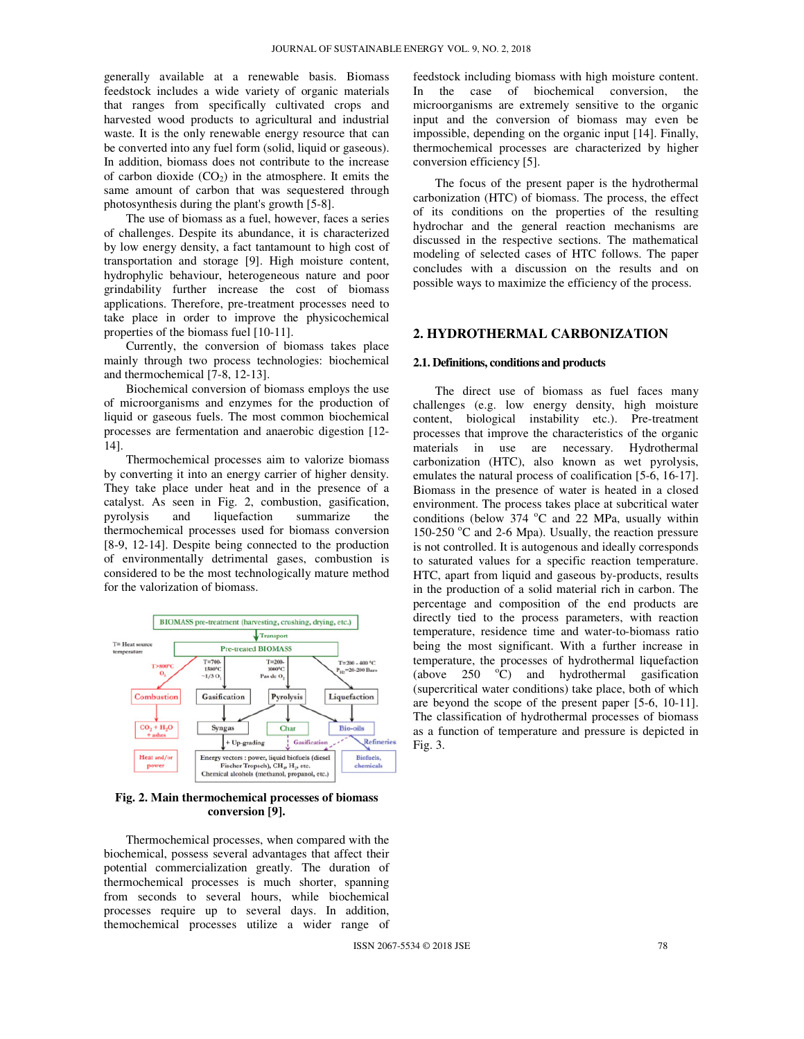generally available at a renewable basis. Biomass feedstock includes a wide variety of organic materials that ranges from specifically cultivated crops and harvested wood products to agricultural and industrial waste. It is the only renewable energy resource that can be converted into any fuel form (solid, liquid or gaseous). In addition, biomass does not contribute to the increase of carbon dioxide  $(CO<sub>2</sub>)$  in the atmosphere. It emits the same amount of carbon that was sequestered through photosynthesis during the plant's growth [5-8].

The use of biomass as a fuel, however, faces a series of challenges. Despite its abundance, it is characterized by low energy density, a fact tantamount to high cost of transportation and storage [9]. High moisture content, hydrophylic behaviour, heterogeneous nature and poor grindability further increase the cost of biomass applications. Therefore, pre-treatment processes need to take place in order to improve the physicochemical properties of the biomass fuel [10-11].

Currently, the conversion of biomass takes place mainly through two process technologies: biochemical and thermochemical [7-8, 12-13].

Biochemical conversion of biomass employs the use of microorganisms and enzymes for the production of liquid or gaseous fuels. The most common biochemical processes are fermentation and anaerobic digestion [12- 14].

Thermochemical processes aim to valorize biomass by converting it into an energy carrier of higher density. They take place under heat and in the presence of a catalyst. As seen in Fig. 2, combustion, gasification, pyrolysis and liquefaction summarize the thermochemical processes used for biomass conversion [8-9, 12-14]. Despite being connected to the production of environmentally detrimental gases, combustion is considered to be the most technologically mature method for the valorization of biomass.



**Fig. 2. Main thermochemical processes of biomass conversion [9].** 

Thermochemical processes, when compared with the biochemical, possess several advantages that affect their potential commercialization greatly. The duration of thermochemical processes is much shorter, spanning from seconds to several hours, while biochemical processes require up to several days. In addition, themochemical processes utilize a wider range of

feedstock including biomass with high moisture content.<br>In the case of biochemical conversion, the In the case of biochemical microorganisms are extremely sensitive to the organic input and the conversion of biomass may even be impossible, depending on the organic input [14]. Finally, thermochemical processes are characterized by higher conversion efficiency [5].

The focus of the present paper is the hydrothermal carbonization (HTC) of biomass. The process, the effect of its conditions on the properties of the resulting hydrochar and the general reaction mechanisms are discussed in the respective sections. The mathematical modeling of selected cases of HTC follows. The paper concludes with a discussion on the results and on possible ways to maximize the efficiency of the process.

# **2. HYDROTHERMAL CARBONIZATION**

#### **2.1. Definitions, conditions and products**

The direct use of biomass as fuel faces many challenges (e.g. low energy density, high moisture content, biological instability etc.). Pre-treatment processes that improve the characteristics of the organic materials in use are necessary. Hydrothermal carbonization (HTC), also known as wet pyrolysis, emulates the natural process of coalification [5-6, 16-17]. Biomass in the presence of water is heated in a closed environment. The process takes place at subcritical water conditions (below  $374$  °C and 22 MPa, usually within 150-250  $^{\circ}$ C and 2-6 Mpa). Usually, the reaction pressure is not controlled. It is autogenous and ideally corresponds to saturated values for a specific reaction temperature. HTC, apart from liquid and gaseous by-products, results in the production of a solid material rich in carbon. The percentage and composition of the end products are directly tied to the process parameters, with reaction temperature, residence time and water-to-biomass ratio being the most significant. With a further increase in temperature, the processes of hydrothermal liquefaction (above  $250$  °C) and hydrothermal gasification (supercritical water conditions) take place, both of which are beyond the scope of the present paper [5-6, 10-11]. The classification of hydrothermal processes of biomass as a function of temperature and pressure is depicted in Fig. 3.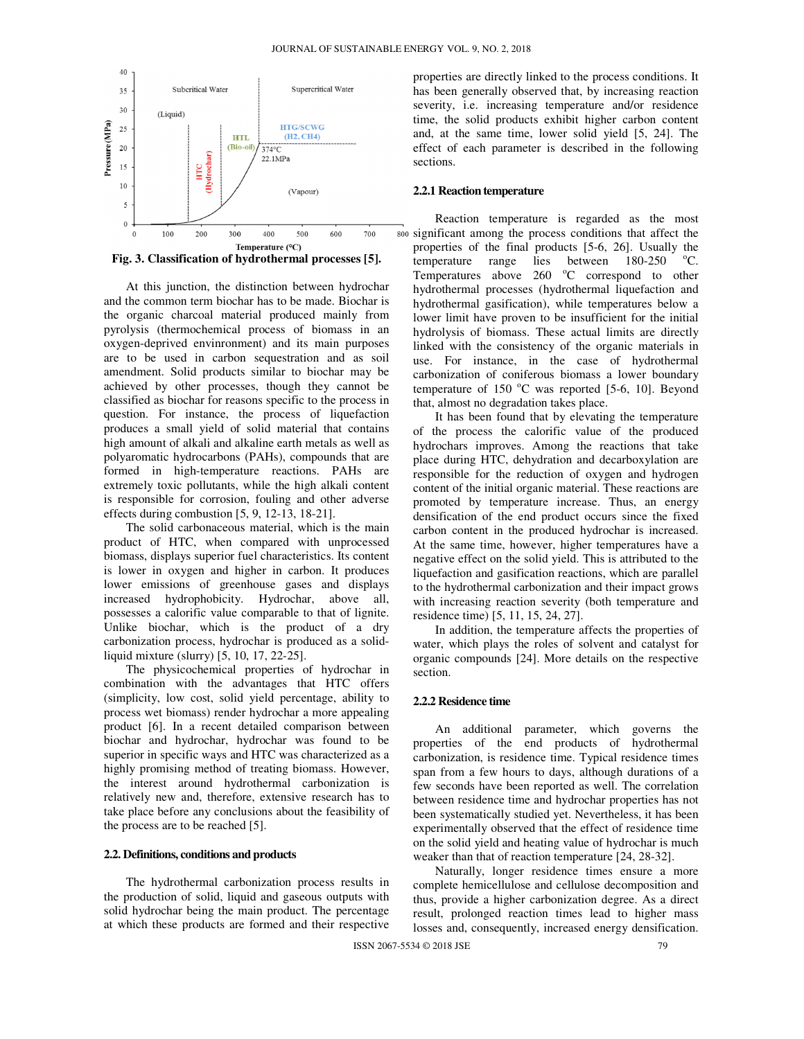

At this junction, the distinction between hydrochar and the common term biochar has to be made. Biochar is the organic charcoal material produced mainly from pyrolysis (thermochemical process of biomass in an oxygen-deprived envinronment) and its main purposes are to be used in carbon sequestration and as soil amendment. Solid products similar to biochar may be achieved by other processes, though they cannot be classified as biochar for reasons specific to the process in question. For instance, the process of liquefaction produces a small yield of solid material that contains high amount of alkali and alkaline earth metals as well as polyaromatic hydrocarbons (PAHs), compounds that are formed in high-temperature reactions. PAHs are extremely toxic pollutants, while the high alkali content is responsible for corrosion, fouling and other adverse effects during combustion [5, 9, 12-13, 18-21].

The solid carbonaceous material, which is the main product of HTC, when compared with unprocessed biomass, displays superior fuel characteristics. Its content is lower in oxygen and higher in carbon. It produces lower emissions of greenhouse gases and displays increased hydrophobicity. Hydrochar, above all, possesses a calorific value comparable to that of lignite. Unlike biochar, which is the product of a dry carbonization process, hydrochar is produced as a solidliquid mixture (slurry) [5, 10, 17, 22-25].

The physicochemical properties of hydrochar in combination with the advantages that HTC offers (simplicity, low cost, solid yield percentage, ability to process wet biomass) render hydrochar a more appealing product [6]. In a recent detailed comparison between biochar and hydrochar, hydrochar was found to be superior in specific ways and HTC was characterized as a highly promising method of treating biomass. However, the interest around hydrothermal carbonization is relatively new and, therefore, extensive research has to take place before any conclusions about the feasibility of the process are to be reached [5].

### **2.2. Definitions, conditions and products**

The hydrothermal carbonization process results in the production of solid, liquid and gaseous outputs with solid hydrochar being the main product. The percentage at which these products are formed and their respective properties are directly linked to the process conditions. It has been generally observed that, by increasing reaction severity, i.e. increasing temperature and/or residence time, the solid products exhibit higher carbon content and, at the same time, lower solid yield [5, 24]. The effect of each parameter is described in the following sections.

### **2.2.1 Reaction temperature**

Reaction temperature is regarded as the most significant among the process conditions that affect the properties of the final products [5-6, 26]. Usually the temperature range lies between  $180-250$  °C. Temperatures above  $260\degree$ C correspond to other hydrothermal processes (hydrothermal liquefaction and hydrothermal gasification), while temperatures below a lower limit have proven to be insufficient for the initial hydrolysis of biomass. These actual limits are directly linked with the consistency of the organic materials in use. For instance, in the case of hydrothermal carbonization of coniferous biomass a lower boundary temperature of  $150^{\circ}$ C was reported [5-6, 10]. Beyond that, almost no degradation takes place.

It has been found that by elevating the temperature of the process the calorific value of the produced hydrochars improves. Among the reactions that take place during HTC, dehydration and decarboxylation are responsible for the reduction of oxygen and hydrogen content of the initial organic material. These reactions are promoted by temperature increase. Thus, an energy densification of the end product occurs since the fixed carbon content in the produced hydrochar is increased. At the same time, however, higher temperatures have a negative effect on the solid yield. This is attributed to the liquefaction and gasification reactions, which are parallel to the hydrothermal carbonization and their impact grows with increasing reaction severity (both temperature and residence time) [5, 11, 15, 24, 27].

In addition, the temperature affects the properties of water, which plays the roles of solvent and catalyst for organic compounds [24]. More details on the respective section.

### **2.2.2 Residence time**

An additional parameter, which governs the properties of the end products of hydrothermal carbonization, is residence time. Typical residence times span from a few hours to days, although durations of a few seconds have been reported as well. The correlation between residence time and hydrochar properties has not been systematically studied yet. Nevertheless, it has been experimentally observed that the effect of residence time on the solid yield and heating value of hydrochar is much weaker than that of reaction temperature [24, 28-32].

Naturally, longer residence times ensure a more complete hemicellulose and cellulose decomposition and thus, provide a higher carbonization degree. As a direct result, prolonged reaction times lead to higher mass losses and, consequently, increased energy densification.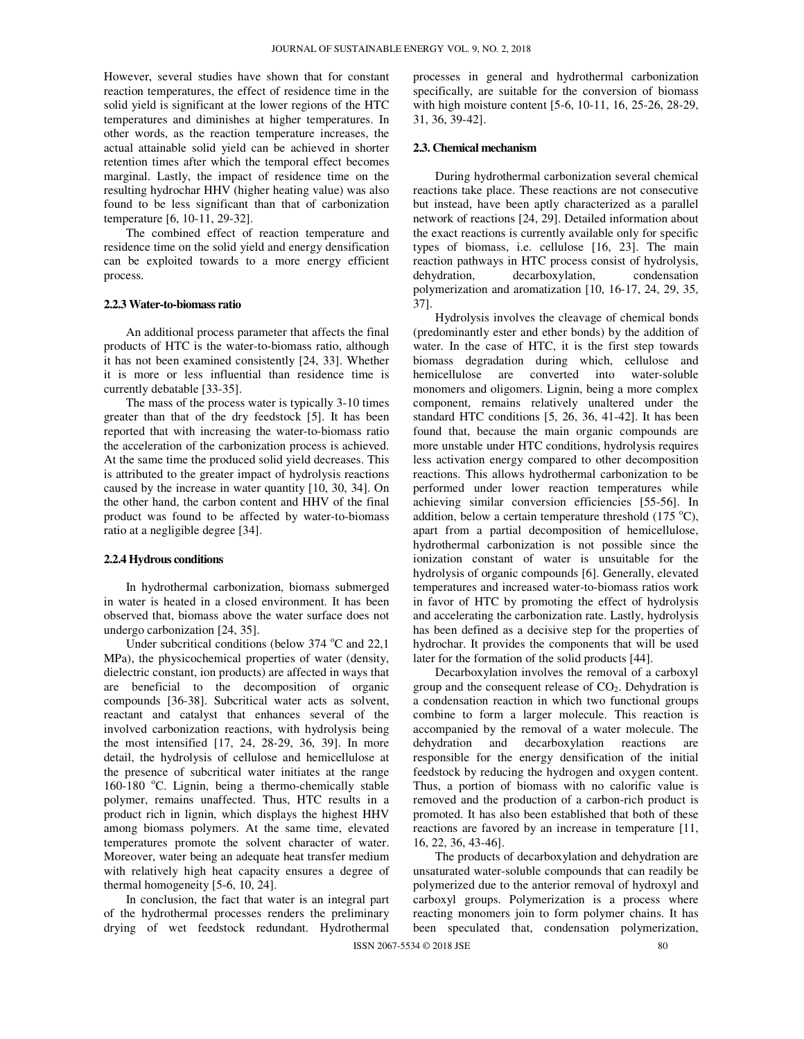However, several studies have shown that for constant reaction temperatures, the effect of residence time in the solid yield is significant at the lower regions of the HTC temperatures and diminishes at higher temperatures. In other words, as the reaction temperature increases, the actual attainable solid yield can be achieved in shorter retention times after which the temporal effect becomes marginal. Lastly, the impact of residence time on the resulting hydrochar HHV (higher heating value) was also found to be less significant than that of carbonization temperature [6, 10-11, 29-32].

The combined effect of reaction temperature and residence time on the solid yield and energy densification can be exploited towards to a more energy efficient process.

### **2.2.3 Water-to-biomass ratio**

An additional process parameter that affects the final products of HTC is the water-to-biomass ratio, although it has not been examined consistently [24, 33]. Whether it is more or less influential than residence time is currently debatable [33-35].

The mass of the process water is typically 3-10 times greater than that of the dry feedstock [5]. It has been reported that with increasing the water-to-biomass ratio the acceleration of the carbonization process is achieved. At the same time the produced solid yield decreases. This is attributed to the greater impact of hydrolysis reactions caused by the increase in water quantity [10, 30, 34]. On the other hand, the carbon content and HHV of the final product was found to be affected by water-to-biomass ratio at a negligible degree [34].

### **2.2.4 Hydrous conditions**

In hydrothermal carbonization, biomass submerged in water is heated in a closed environment. It has been observed that, biomass above the water surface does not undergo carbonization [24, 35].

Under subcritical conditions (below  $374^{\circ}$ C and  $22.1$ ) MPa), the physicochemical properties of water (density, dielectric constant, ion products) are affected in ways that are beneficial to the decomposition of organic compounds [36-38]. Subcritical water acts as solvent, reactant and catalyst that enhances several of the involved carbonization reactions, with hydrolysis being the most intensified [17, 24, 28-29, 36, 39]. In more detail, the hydrolysis of cellulose and hemicellulose at the presence of subcritical water initiates at the range 160-180  $^{\circ}$ C. Lignin, being a thermo-chemically stable polymer, remains unaffected. Thus, HTC results in a product rich in lignin, which displays the highest HHV among biomass polymers. At the same time, elevated temperatures promote the solvent character of water. Moreover, water being an adequate heat transfer medium with relatively high heat capacity ensures a degree of thermal homogeneity [5-6, 10, 24].

In conclusion, the fact that water is an integral part of the hydrothermal processes renders the preliminary drying of wet feedstock redundant. Hydrothermal processes in general and hydrothermal carbonization specifically, are suitable for the conversion of biomass with high moisture content [5-6, 10-11, 16, 25-26, 28-29, 31, 36, 39-42].

### **2.3. Chemical mechanism**

During hydrothermal carbonization several chemical reactions take place. These reactions are not consecutive but instead, have been aptly characterized as a parallel network of reactions [24, 29]. Detailed information about the exact reactions is currently available only for specific types of biomass, i.e. cellulose [16, 23]. The main reaction pathways in HTC process consist of hydrolysis, dehydration, decarboxylation, condensation polymerization and aromatization [10, 16-17, 24, 29, 35, 37].

Hydrolysis involves the cleavage of chemical bonds (predominantly ester and ether bonds) by the addition of water. In the case of HTC, it is the first step towards biomass degradation during which, cellulose and hemicellulose are converted into water-soluble monomers and oligomers. Lignin, being a more complex component, remains relatively unaltered under the standard HTC conditions [5, 26, 36, 41-42]. It has been found that, because the main organic compounds are more unstable under HTC conditions, hydrolysis requires less activation energy compared to other decomposition reactions. This allows hydrothermal carbonization to be performed under lower reaction temperatures while achieving similar conversion efficiencies [55-56]. In addition, below a certain temperature threshold  $(175 \text{ °C})$ , apart from a partial decomposition of hemicellulose, hydrothermal carbonization is not possible since the ionization constant of water is unsuitable for the hydrolysis of organic compounds [6]. Generally, elevated temperatures and increased water-to-biomass ratios work in favor of HTC by promoting the effect of hydrolysis and accelerating the carbonization rate. Lastly, hydrolysis has been defined as a decisive step for the properties of hydrochar. It provides the components that will be used later for the formation of the solid products [44].

Decarboxylation involves the removal of a carboxyl group and the consequent release of  $CO<sub>2</sub>$ . Dehydration is a condensation reaction in which two functional groups combine to form a larger molecule. This reaction is accompanied by the removal of a water molecule. The dehydration and decarboxylation reactions are responsible for the energy densification of the initial feedstock by reducing the hydrogen and oxygen content. Thus, a portion of biomass with no calorific value is removed and the production of a carbon-rich product is promoted. It has also been established that both of these reactions are favored by an increase in temperature [11, 16, 22, 36, 43-46].

The products of decarboxylation and dehydration are unsaturated water-soluble compounds that can readily be polymerized due to the anterior removal of hydroxyl and carboxyl groups. Polymerization is a process where reacting monomers join to form polymer chains. It has been speculated that, condensation polymerization,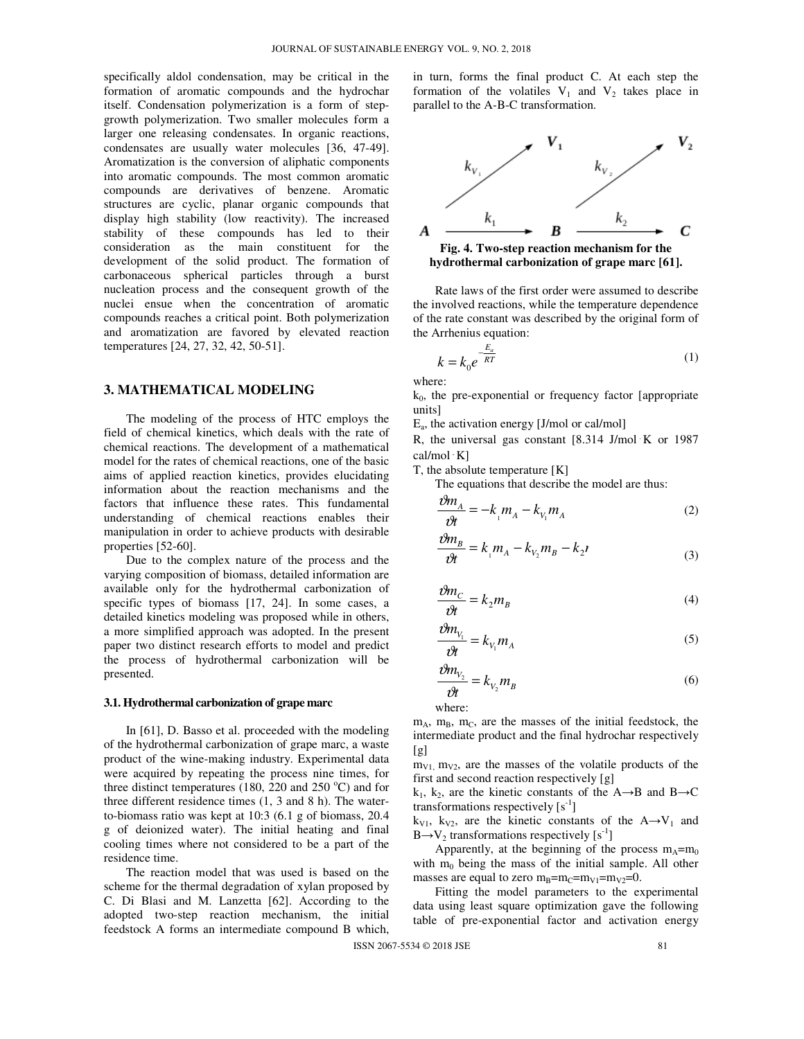specifically aldol condensation, may be critical in the formation of aromatic compounds and the hydrochar itself. Condensation polymerization is a form of stepgrowth polymerization. Two smaller molecules form a larger one releasing condensates. In organic reactions, condensates are usually water molecules [36, 47-49]. Aromatization is the conversion of aliphatic components into aromatic compounds. The most common aromatic compounds are derivatives of benzene. Aromatic structures are cyclic, planar organic compounds that display high stability (low reactivity). The increased stability of these compounds has led to their consideration as the main constituent for the development of the solid product. The formation of carbonaceous spherical particles through a burst nucleation process and the consequent growth of the nuclei ensue when the concentration of aromatic compounds reaches a critical point. Both polymerization and aromatization are favored by elevated reaction temperatures [24, 27, 32, 42, 50-51].

# **3. MATHEMATICAL MODELING**

The modeling of the process of HTC employs the field of chemical kinetics, which deals with the rate of chemical reactions. The development of a mathematical model for the rates of chemical reactions, one of the basic aims of applied reaction kinetics, provides elucidating information about the reaction mechanisms and the factors that influence these rates. This fundamental understanding of chemical reactions enables their manipulation in order to achieve products with desirable properties [52-60].

Due to the complex nature of the process and the varying composition of biomass, detailed information are available only for the hydrothermal carbonization of specific types of biomass [17, 24]. In some cases, a detailed kinetics modeling was proposed while in others, a more simplified approach was adopted. In the present paper two distinct research efforts to model and predict the process of hydrothermal carbonization will be presented.

### **3.1. Hydrothermal carbonization of grape marc**

In [61], D. Basso et al. proceeded with the modeling of the hydrothermal carbonization of grape marc, a waste product of the wine-making industry. Experimental data were acquired by repeating the process nine times, for three distinct temperatures (180, 220 and 250  $^{\circ}$ C) and for three different residence times (1, 3 and 8 h). The waterto-biomass ratio was kept at 10:3 (6.1 g of biomass, 20.4 g of deionized water). The initial heating and final cooling times where not considered to be a part of the residence time.

The reaction model that was used is based on the scheme for the thermal degradation of xylan proposed by C. Di Blasi and M. Lanzetta [62]. According to the adopted two-step reaction mechanism, the initial feedstock A forms an intermediate compound B which, in turn, forms the final product C. At each step the formation of the volatiles  $V_1$  and  $V_2$  takes place in parallel to the A-B-C transformation.



**hydrothermal carbonization of grape marc [61].** 

Rate laws of the first order were assumed to describe the involved reactions, while the temperature dependence of the rate constant was described by the original form of the Arrhenius equation:

$$
k = k_0 e^{\frac{E_a}{RT}}
$$
 (1)

where:

 $k_0$ , the pre-exponential or frequency factor [appropriate units]

Ea , the activation energy [J/mol or cal/mol]

R, the universal gas constant [8.314 J/mol⋅K or 1987 cal/mol⋅K]

T, the absolute temperature [K]

The equations that describe the model are thus:

$$
\frac{\partial m_A}{\partial t} = -k_{\mu} m_A - k_{V_1} m_A \tag{2}
$$

$$
\frac{\partial m_B}{\partial t} = k_{\mu} m_A - k_{V_2} m_B - k_2 n \tag{3}
$$

$$
\frac{\partial m_C}{\partial t} = k_2 m_B \tag{4}
$$

$$
\frac{\partial m_{V_1}}{\partial t} = k_{V_1} m_A \tag{5}
$$

$$
\frac{\partial m_{V_2}}{\partial t} = k_{V_2} m_B \tag{6}
$$

where:

ϑ

 $m_A$ ,  $m_B$ ,  $m_C$ , are the masses of the initial feedstock, the intermediate product and the final hydrochar respectively  $[g]$ 

 $m_{V1}$ ,  $m_{V2}$ , are the masses of the volatile products of the first and second reaction respectively [g]

 $k_1$ ,  $k_2$ , are the kinetic constants of the A→B and B→C transformations respectively  $[s^{-1}]$ 

 $k_{V1}$ ,  $k_{V2}$ , are the kinetic constants of the A $\rightarrow$ V<sub>1</sub> and  $B \rightarrow V_2$  transformations respectively [s<sup>-1</sup>]

Apparently, at the beginning of the process  $m_A = m_0$ with  $m_0$  being the mass of the initial sample. All other masses are equal to zero  $m_B=m_C=m_{V1}=m_{V2}=0$ .

Fitting the model parameters to the experimental data using least square optimization gave the following table of pre-exponential factor and activation energy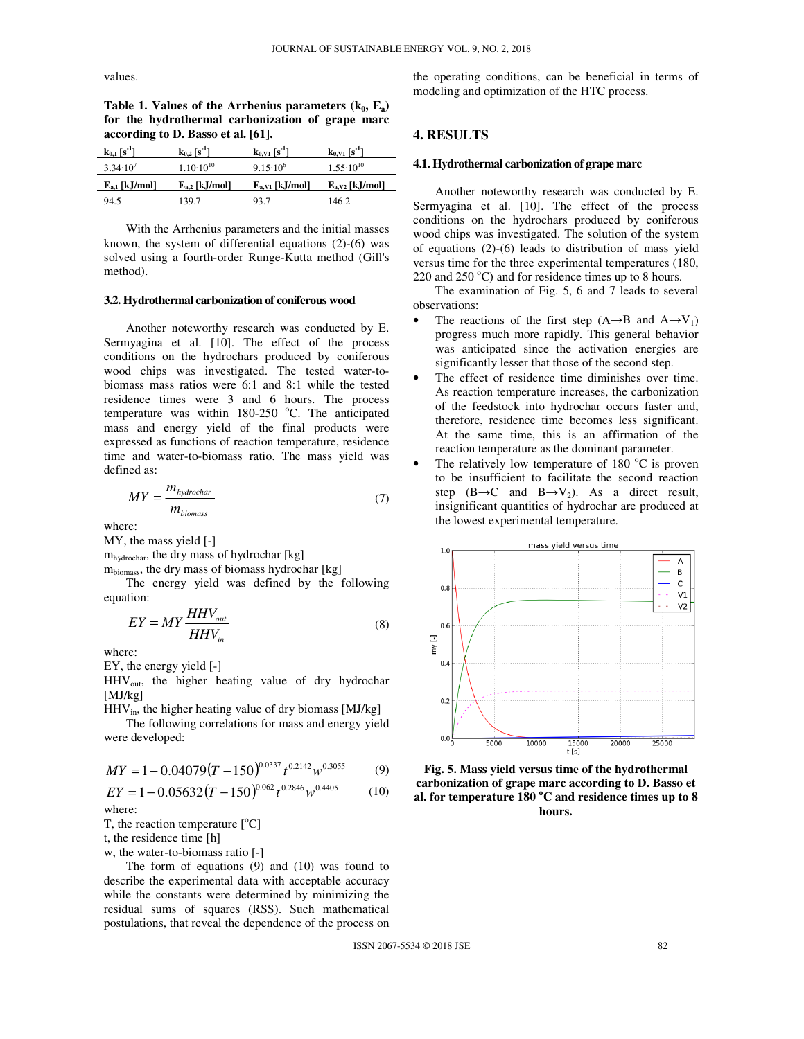values.

Table 1. Values of the Arrhenius parameters  $(k_0, E_a)$ **for the hydrothermal carbonization of grape marc according to D. Basso et al. [61].** 

| $k_{0,1}$ [s <sup>-1</sup> ] | $k_{0.2}$ [s <sup>-1</sup> ] | $k_{0.}1$ [s <sup>-1</sup> ] | $k_{0.}$ [s <sup>-1</sup> ] |
|------------------------------|------------------------------|------------------------------|-----------------------------|
| $3.34 \cdot 10^{7}$          | $1.10 \cdot 10^{10}$         | $9.15 \cdot 10^{6}$          | $1.55 \cdot 10^{10}$        |
| $E_{a,1}$ [kJ/mol]           | $E_{a,2}$ [kJ/mol]           | $E_{a,V1}$ [kJ/mol]          | $E_{a,V2}$ [kJ/mol]         |
| 94.5                         | 139.7                        | 93.7                         | 146.2                       |

With the Arrhenius parameters and the initial masses known, the system of differential equations (2)-(6) was solved using a fourth-order Runge-Kutta method (Gill's method).

### **3.2. Hydrothermal carbonization of coniferous wood**

Another noteworthy research was conducted by E. Sermyagina et al. [10]. The effect of the process conditions on the hydrochars produced by coniferous wood chips was investigated. The tested water-tobiomass mass ratios were 6:1 and 8:1 while the tested residence times were 3 and 6 hours. The process temperature was within  $180-250$  °C. The anticipated mass and energy yield of the final products were expressed as functions of reaction temperature, residence time and water-to-biomass ratio. The mass yield was defined as:

$$
MY = \frac{m_{\text{hydrochar}}}{m_{\text{biomass}}}
$$
 (7)

where:

MY, the mass yield [-]

mhydrochar, the dry mass of hydrochar [kg]

mbiomass, the dry mass of biomass hydrochar [kg]

The energy yield was defined by the following equation:

$$
EY = MY \frac{HHV_{out}}{HHV_{in}} \tag{8}
$$

where:

EY, the energy yield [-]

HHVout, the higher heating value of dry hydrochar [MJ/kg]

 $HHV<sub>in</sub>$ , the higher heating value of dry biomass [MJ/kg]

The following correlations for mass and energy yield were developed:

$$
MY = 1 - 0.04079(T - 150)^{0.0337} t^{0.2142} w^{0.3055}
$$
 (9)

$$
EY = 1 - 0.05632(T - 150)^{0.062} t^{0.2846} w^{0.4405}
$$
 (10)  
where:

T, the reaction temperature  $[°C]$ 

t, the residence time [h]

w, the water-to-biomass ratio [-]

The form of equations (9) and (10) was found to describe the experimental data with acceptable accuracy while the constants were determined by minimizing the residual sums of squares (RSS). Such mathematical postulations, that reveal the dependence of the process on the operating conditions, can be beneficial in terms of modeling and optimization of the HTC process.

# **4. RESULTS**

### **4.1. Hydrothermal carbonization of grape marc**

Another noteworthy research was conducted by E. Sermyagina et al. [10]. The effect of the process conditions on the hydrochars produced by coniferous wood chips was investigated. The solution of the system of equations (2)-(6) leads to distribution of mass yield versus time for the three experimental temperatures (180, 220 and  $250^{\circ}$ C) and for residence times up to 8 hours.

The examination of Fig. 5, 6 and 7 leads to several observations:

- The reactions of the first step  $(A \rightarrow B$  and  $A \rightarrow V_1$ ) progress much more rapidly. This general behavior was anticipated since the activation energies are significantly lesser that those of the second step.
- The effect of residence time diminishes over time. As reaction temperature increases, the carbonization of the feedstock into hydrochar occurs faster and, therefore, residence time becomes less significant. At the same time, this is an affirmation of the reaction temperature as the dominant parameter.
- The relatively low temperature of 180  $^{\circ}$ C is proven to be insufficient to facilitate the second reaction step  $(B\rightarrow C$  and  $B\rightarrow V_2$ ). As a direct result, insignificant quantities of hydrochar are produced at the lowest experimental temperature.



**Fig. 5. Mass yield versus time of the hydrothermal carbonization of grape marc according to D. Basso et al. for temperature 180 <sup>o</sup>C and residence times up to 8 hours.**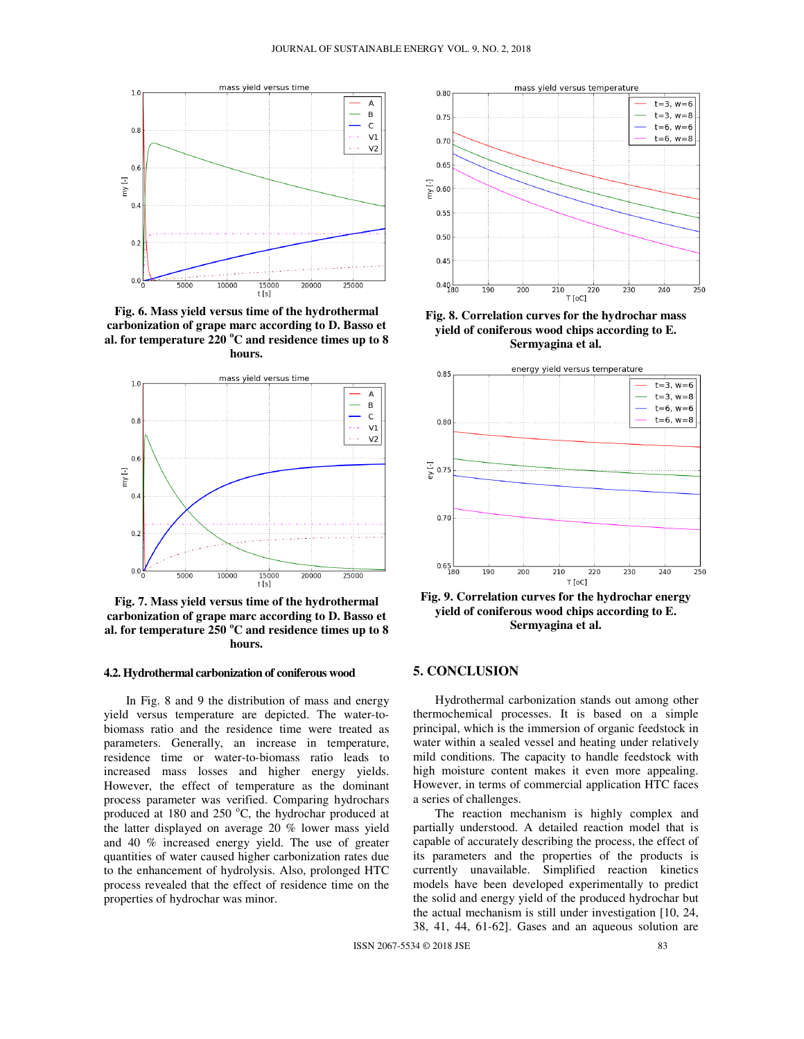

**Fig. 6. Mass yield versus time of the hydrothermal carbonization of grape marc according to D. Basso et al. for temperature 220 <sup>o</sup>C and residence times up to 8 hours.** 



**Fig. 7. Mass yield versus time of the hydrothermal carbonization of grape marc according to D. Basso et al. for temperature 250 <sup>o</sup>C and residence times up to 8 hours.** 

### **4.2. Hydrothermal carbonization of coniferous wood**

In Fig. 8 and 9 the distribution of mass and energy yield versus temperature are depicted. The water-tobiomass ratio and the residence time were treated as parameters. Generally, an increase in temperature, residence time or water-to-biomass ratio leads to increased mass losses and higher energy yields. However, the effect of temperature as the dominant process parameter was verified. Comparing hydrochars produced at 180 and 250  $^{\circ}$ C, the hydrochar produced at the latter displayed on average 20 % lower mass yield and 40 % increased energy yield. The use of greater quantities of water caused higher carbonization rates due to the enhancement of hydrolysis. Also, prolonged HTC process revealed that the effect of residence time on the properties of hydrochar was minor.



**Fig. 8. Correlation curves for the hydrochar mass yield of coniferous wood chips according to E. Sermyagina et al.** 



**Fig. 9. Correlation curves for the hydrochar energy yield of coniferous wood chips according to E. Sermyagina et al.** 

# **5. CONCLUSION**

Hydrothermal carbonization stands out among other thermochemical processes. It is based on a simple principal, which is the immersion of organic feedstock in water within a sealed vessel and heating under relatively mild conditions. The capacity to handle feedstock with high moisture content makes it even more appealing. However, in terms of commercial application HTC faces a series of challenges.

The reaction mechanism is highly complex and partially understood. A detailed reaction model that is capable of accurately describing the process, the effect of its parameters and the properties of the products is currently unavailable. Simplified reaction kinetics models have been developed experimentally to predict the solid and energy yield of the produced hydrochar but the actual mechanism is still under investigation [10, 24, 38, 41, 44, 61-62]. Gases and an aqueous solution are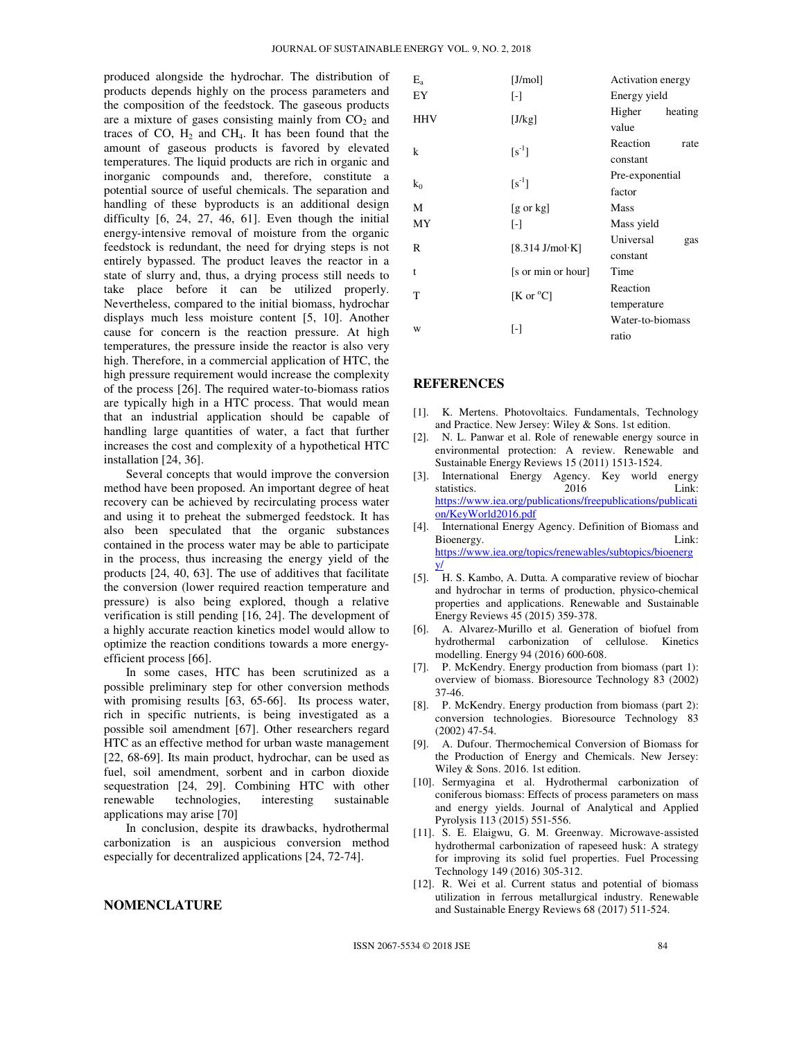produced alongside the hydrochar. The distribution of products depends highly on the process parameters and the composition of the feedstock. The gaseous products are a mixture of gases consisting mainly from  $CO<sub>2</sub>$  and traces of CO,  $H_2$  and CH<sub>4</sub>. It has been found that the amount of gaseous products is favored by elevated temperatures. The liquid products are rich in organic and inorganic compounds and, therefore, constitute a potential source of useful chemicals. The separation and handling of these byproducts is an additional design difficulty [6, 24, 27, 46, 61]. Even though the initial energy-intensive removal of moisture from the organic feedstock is redundant, the need for drying steps is not entirely bypassed. The product leaves the reactor in a state of slurry and, thus, a drying process still needs to take place before it can be utilized properly. Nevertheless, compared to the initial biomass, hydrochar displays much less moisture content [5, 10]. Another cause for concern is the reaction pressure. At high temperatures, the pressure inside the reactor is also very high. Therefore, in a commercial application of HTC, the high pressure requirement would increase the complexity of the process [26]. The required water-to-biomass ratios are typically high in a HTC process. That would mean that an industrial application should be capable of handling large quantities of water, a fact that further increases the cost and complexity of a hypothetical HTC installation [24, 36].

Several concepts that would improve the conversion method have been proposed. An important degree of heat recovery can be achieved by recirculating process water and using it to preheat the submerged feedstock. It has also been speculated that the organic substances contained in the process water may be able to participate in the process, thus increasing the energy yield of the products [24, 40, 63]. The use of additives that facilitate the conversion (lower required reaction temperature and pressure) is also being explored, though a relative verification is still pending [16, 24]. The development of a highly accurate reaction kinetics model would allow to optimize the reaction conditions towards a more energyefficient process [66].

In some cases, HTC has been scrutinized as a possible preliminary step for other conversion methods with promising results [63, 65-66]. Its process water, rich in specific nutrients, is being investigated as a possible soil amendment [67]. Other researchers regard HTC as an effective method for urban waste management [22, 68-69]. Its main product, hydrochar, can be used as fuel, soil amendment, sorbent and in carbon dioxide sequestration [24, 29]. Combining HTC with other renewable technologies, interesting sustainable applications may arise [70]

In conclusion, despite its drawbacks, hydrothermal carbonization is an auspicious conversion method especially for decentralized applications [24, 72-74].

## **NOMENCLATURE**

| $E_{a}$    | [J/mol]              | Activation energy            |  |
|------------|----------------------|------------------------------|--|
| EY         | $\lbrack - \rbrack$  | Energy yield                 |  |
| <b>HHV</b> | [J/kg]               | Higher<br>heating<br>value   |  |
| k          | $[s^{-1}]$           | Reaction<br>rate<br>constant |  |
|            | $[s^{-1}]$           | Pre-exponential              |  |
| $k_0$      |                      | factor                       |  |
| M          | $[g \text{ or } kg]$ | Mass                         |  |
| MY         | $\lbrack - \rbrack$  | Mass yield                   |  |
| R          | [8.314 J/mol·K]      | Universal<br>gas<br>constant |  |
| t          | [s or min or hour]   | Time                         |  |
| T          | [K or $^{\circ}$ C]  | Reaction                     |  |
|            |                      | temperature                  |  |
|            |                      | Water-to-biomass             |  |
| W          | $[\cdot]$            | ratio                        |  |

### **REFERENCES**

- [1]. K. Mertens. Photovoltaics. Fundamentals, Technology and Practice. New Jersey: Wiley & Sons. 1st edition.
- [2]. N. L. Panwar et al. Role of renewable energy source in environmental protection: A review. Renewable and Sustainable Energy Reviews 15 (2011) 1513-1524.
- [3]. International Energy Agency. Key world energy statistics. 2016 Link: https://www.iea.org/publications/freepublications/publicati on/KeyWorld2016.pdf
- [4]. International Energy Agency. Definition of Biomass and Bioenergy. Link: https://www.iea.org/topics/renewables/subtopics/bioenerg y/
- [5]. H. S. Kambo, A. Dutta. A comparative review of biochar and hydrochar in terms of production, physico-chemical properties and applications. Renewable and Sustainable Energy Reviews 45 (2015) 359-378.
- [6]. A. Alvarez-Murillo et al. Generation of biofuel from hydrothermal carbonization of cellulose. Kinetics modelling. Energy 94 (2016) 600-608.
- [7]. P. McKendry. Energy production from biomass (part 1): overview of biomass. Bioresource Technology 83 (2002) 37-46.
- [8]. P. McKendry. Energy production from biomass (part 2): conversion technologies. Bioresource Technology 83 (2002) 47-54.
- [9]. A. Dufour. Thermochemical Conversion of Biomass for the Production of Energy and Chemicals. New Jersey: Wiley & Sons. 2016. 1st edition.
- [10]. Sermyagina et al. Hydrothermal carbonization of coniferous biomass: Effects of process parameters on mass and energy yields. Journal of Analytical and Applied Pyrolysis 113 (2015) 551-556.
- [11]. S. E. Elaigwu, G. M. Greenway. Microwave-assisted hydrothermal carbonization of rapeseed husk: A strategy for improving its solid fuel properties. Fuel Processing Technology 149 (2016) 305-312.
- [12]. R. Wei et al. Current status and potential of biomass utilization in ferrous metallurgical industry. Renewable and Sustainable Energy Reviews 68 (2017) 511-524.

ISSN 2067-5534 © 2018 JSE 84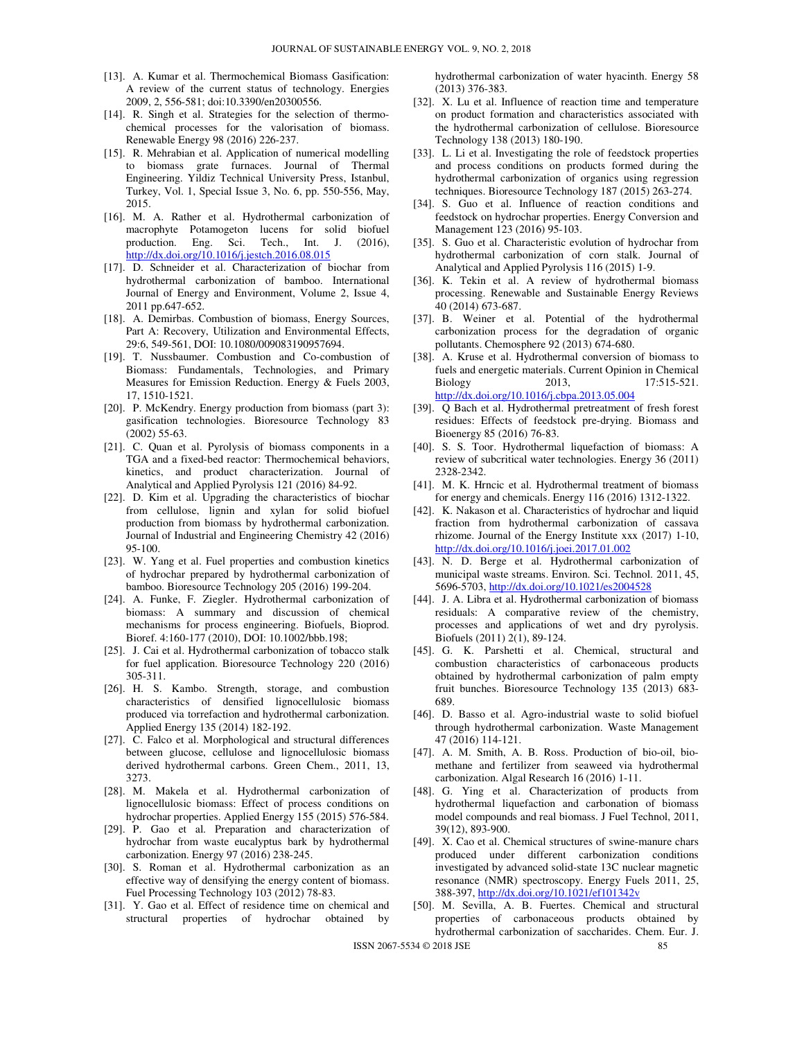- [13]. A. Kumar et al. Thermochemical Biomass Gasification: A review of the current status of technology. Energies 2009, 2, 556-581; doi:10.3390/en20300556.
- [14]. R. Singh et al. Strategies for the selection of thermochemical processes for the valorisation of biomass. Renewable Energy 98 (2016) 226-237.
- [15]. R. Mehrabian et al. Application of numerical modelling to biomass grate furnaces. Journal of Thermal Engineering. Yildiz Technical University Press, Istanbul, Turkey, Vol. 1, Special Issue 3, No. 6, pp. 550-556, May, 2015.
- [16]. M. A. Rather et al. Hydrothermal carbonization of macrophyte Potamogeton lucens for solid biofuel production. Eng. Sci. Tech., Int. J. (2016), http://dx.doi.org/10.1016/j.jestch.2016.08.01;
- [17]. D. Schneider et al. Characterization of biochar from hydrothermal carbonization of bamboo. International Journal of Energy and Environment, Volume 2, Issue 4, 2011 pp.647-652.
- [18]. A. Demirbas. Combustion of biomass, Energy Sources, Part A: Recovery, Utilization and Environmental Effects, 29:6, 549-561, DOI: 10.1080/009083190957694.
- [19]. T. Nussbaumer. Combustion and Co-combustion of Biomass: Fundamentals, Technologies, and Primary Measures for Emission Reduction. Energy & Fuels 2003, 17, 1510-1521.
- [20]. P. McKendry. Energy production from biomass (part 3): gasification technologies. Bioresource Technology 83 (2002) 55-63.
- [21]. C. Quan et al. Pyrolysis of biomass components in a TGA and a fixed-bed reactor: Thermochemical behaviors, kinetics, and product characterization. Journal of Analytical and Applied Pyrolysis 121 (2016) 84-92.
- [22]. D. Kim et al. Upgrading the characteristics of biochar from cellulose, lignin and xylan for solid biofuel production from biomass by hydrothermal carbonization. Journal of Industrial and Engineering Chemistry 42 (2016) 95-100.
- [23]. W. Yang et al. Fuel properties and combustion kinetics of hydrochar prepared by hydrothermal carbonization of bamboo. Bioresource Technology 205 (2016) 199-204.
- [24]. A. Funke, F. Ziegler. Hydrothermal carbonization of biomass: A summary and discussion of chemical mechanisms for process engineering. Biofuels, Bioprod. Bioref. 4:160-177 (2010), DOI: 10.1002/bbb.198;
- [25]. J. Cai et al. Hydrothermal carbonization of tobacco stalk for fuel application. Bioresource Technology 220 (2016) 305-311.
- [26]. H. S. Kambo. Strength, storage, and combustion characteristics of densified lignocellulosic biomass produced via torrefaction and hydrothermal carbonization. Applied Energy 135 (2014) 182-192.
- [27]. C. Falco et al. Morphological and structural differences between glucose, cellulose and lignocellulosic biomass derived hydrothermal carbons. Green Chem., 2011, 13, 3273.
- [28]. M. Makela et al. Hydrothermal carbonization of lignocellulosic biomass: Effect of process conditions on hydrochar properties. Applied Energy 155 (2015) 576-584.
- [29]. P. Gao et al. Preparation and characterization of hydrochar from waste eucalyptus bark by hydrothermal carbonization. Energy 97 (2016) 238-245.
- [30]. S. Roman et al. Hydrothermal carbonization as an effective way of densifying the energy content of biomass. Fuel Processing Technology 103 (2012) 78-83.
- [31]. Y. Gao et al. Effect of residence time on chemical and structural properties of hydrochar obtained by

hydrothermal carbonization of water hyacinth. Energy 58 (2013) 376-383.

- [32]. X. Lu et al. Influence of reaction time and temperature on product formation and characteristics associated with the hydrothermal carbonization of cellulose. Bioresource Technology 138 (2013) 180-190.
- [33]. L. Li et al. Investigating the role of feedstock properties and process conditions on products formed during the hydrothermal carbonization of organics using regression techniques. Bioresource Technology 187 (2015) 263-274.
- [34]. S. Guo et al. Influence of reaction conditions and feedstock on hydrochar properties. Energy Conversion and Management 123 (2016) 95-103.
- [35]. S. Guo et al. Characteristic evolution of hydrochar from hydrothermal carbonization of corn stalk. Journal of Analytical and Applied Pyrolysis 116 (2015) 1-9.
- [36]. K. Tekin et al. A review of hydrothermal biomass processing. Renewable and Sustainable Energy Reviews 40 (2014) 673-687.
- [37]. B. Weiner et al. Potential of the hydrothermal carbonization process for the degradation of organic pollutants. Chemosphere 92 (2013) 674-680.
- [38]. A. Kruse et al. Hydrothermal conversion of biomass to fuels and energetic materials. Current Opinion in Chemical Biology 2013, 17:515-521. http://dx.doi.org/10.1016/j.cbpa.2013.05.004
- [39]. Q Bach et al. Hydrothermal pretreatment of fresh forest residues: Effects of feedstock pre-drying. Biomass and Bioenergy 85 (2016) 76-83.
- [40]. S. S. Toor. Hydrothermal liquefaction of biomass: A review of subcritical water technologies. Energy 36 (2011) 2328-2342.
- [41]. M. K. Hrncic et al. Hydrothermal treatment of biomass for energy and chemicals. Energy 116 (2016) 1312-1322.
- [42]. K. Nakason et al. Characteristics of hydrochar and liquid fraction from hydrothermal carbonization of cassava rhizome. Journal of the Energy Institute xxx (2017) 1-10, http://dx.doi.org/10.1016/j.joei.2017.01.002
- [43]. N. D. Berge et al. Hydrothermal carbonization of municipal waste streams. Environ. Sci. Technol. 2011, 45, 5696-5703, http://dx.doi.org/10.1021/es2004528
- [44]. J. A. Libra et al. Hydrothermal carbonization of biomass residuals: A comparative review of the chemistry, processes and applications of wet and dry pyrolysis. Biofuels (2011) 2(1), 89-124.
- [45]. G. K. Parshetti et al. Chemical, structural and combustion characteristics of carbonaceous products obtained by hydrothermal carbonization of palm empty fruit bunches. Bioresource Technology 135 (2013) 683- 689.
- [46]. D. Basso et al. Agro-industrial waste to solid biofuel through hydrothermal carbonization. Waste Management 47 (2016) 114-121.
- [47]. A. M. Smith, A. B. Ross. Production of bio-oil, biomethane and fertilizer from seaweed via hydrothermal carbonization. Algal Research 16 (2016) 1-11.
- [48]. G. Ying et al. Characterization of products from hydrothermal liquefaction and carbonation of biomass model compounds and real biomass. J Fuel Technol, 2011, 39(12), 893-900.
- [49]. X. Cao et al. Chemical structures of swine-manure chars produced under different carbonization conditions investigated by advanced solid-state 13C nuclear magnetic resonance (NMR) spectroscopy. Energy Fuels 2011, 25, 388-397, http://dx.doi.org/10.1021/ef101342v
- [50]. M. Sevilla, A. B. Fuertes. Chemical and structural properties of carbonaceous products obtained by hydrothermal carbonization of saccharides. Chem. Eur. J.

ISSN 2067-5534 © 2018 JSE 85